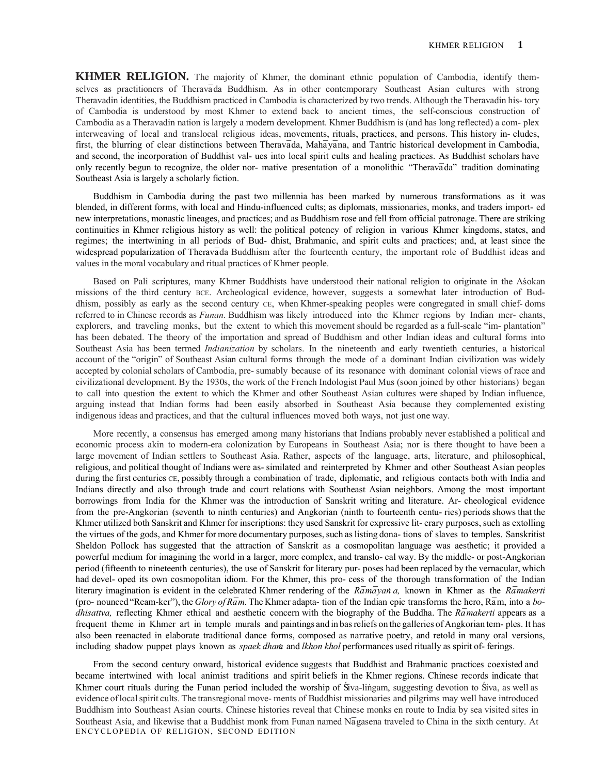**KHMER RELIGION.** The majority of Khmer, the dominant ethnic population of Cambodia, identify themselves as practitioners of Theravada Buddhism. As in other contemporary Southeast Asian cultures with strong Theravadin identities, the Buddhism practiced in Cambodia is characterized by two trends. Although the Theravadin his- tory of Cambodia is understood by most Khmer to extend back to ancient times, the self-conscious construction of Cambodia as a Theravadin nation is largely a modern development. Khmer Buddhism is (and has long reflected) a com- plex interweaving of local and translocal religious ideas, movements, rituals, practices, and persons. This history in- cludes, first, the blurring of clear distinctions between Theravada, Mahayana, and Tantric historical development in Cambodia, and second, the incorporation of Buddhist val- ues into local spirit cults and healing practices. As Buddhist scholars have only recently begun to recognize, the older nor- mative presentation of a monolithic "Therava da" tradition dominating Southeast Asia is largely a scholarly fiction.

Buddhism in Cambodia during the past two millennia has been marked by numerous transformations as it was blended, in different forms, with local and Hindu-influenced cults; as diplomats, missionaries, monks, and traders import- ed new interpretations, monastic lineages, and practices; and as Buddhism rose and fell from official patronage. There are striking continuities in Khmer religious history as well: the political potency of religion in various Khmer kingdoms, states, and regimes; the intertwining in all periods of Bud- dhist, Brahmanic, and spirit cults and practices; and, at least since the widespread popularization of Theravada Buddhism after the fourteenth century, the important role of Buddhist ideas and values in the moral vocabulary and ritual practices of Khmer people.

Based on Pali scriptures, many Khmer Buddhists have understood their national religion to originate in the Asokan missions of the third century BCE. Archeological evidence, however, suggests a somewhat later introduction of Buddhism, possibly as early as the second century CE, when Khmer-speaking peoples were congregated in small chief- doms referred to in Chinese records as *Funan.* Buddhism was likely introduced into the Khmer regions by Indian mer- chants, explorers, and traveling monks, but the extent to which this movement should be regarded as a full-scale "im- plantation" has been debated. The theory of the importation and spread of Buddhism and other Indian ideas and cultural forms into Southeast Asia has been termed *Indianization* by scholars. In the nineteenth and early twentieth centuries, a historical account of the "origin" of Southeast Asian cultural forms through the mode of a dominant Indian civilization was widely accepted by colonial scholars of Cambodia, pre- sumably because of its resonance with dominant colonial views of race and civilizational development. By the 1930s, the work of the French Indologist Paul Mus (soon joined by other historians) began to call into question the extent to which the Khmer and other Southeast Asian cultures were shaped by Indian influence, arguing instead that Indian forms had been easily absorbed in Southeast Asia because they complemented existing indigenous ideas and practices, and that the cultural influences moved both ways, not just one way.

More recently, a consensus has emerged among many historians that Indians probably never established a political and economic process akin to modern-era colonization by Europeans in Southeast Asia; nor is there thought to have been a large movement of Indian settlers to Southeast Asia. Rather, aspects of the language, arts, literature, and philosophical, religious, and political thought of Indians were as- similated and reinterpreted by Khmer and other Southeast Asian peoples during the first centuries CE, possibly through a combination of trade, diplomatic, and religious contacts both with India and Indians directly and also through trade and court relations with Southeast Asian neighbors. Among the most important borrowings from India for the Khmer was the introduction of Sanskrit writing and literature. Ar- cheological evidence from the pre-Angkorian (seventh to ninth centuries) and Angkorian (ninth to fourteenth centu- ries) periods shows that the Khmer utilized both Sanskrit and Khmer for inscriptions: they used Sanskrit for expressive lit- erary purposes, such as extolling the virtues of the gods, and Khmer for more documentary purposes, such as listing dona- tions of slaves to temples. Sanskritist Sheldon Pollock has suggested that the attraction of Sanskrit as a cosmopolitan language was aesthetic; it provided a powerful medium for imagining the world in a larger, more complex, and translo- cal way. By the middle- or post-Angkorian period (fifteenth to nineteenth centuries), the use of Sanskrit for literary pur- poses had been replaced by the vernacular, which had devel- oped its own cosmopolitan idiom. For the Khmer, this pro- cess of the thorough transformation of the Indian literary imagination is evident in the celebrated Khmer rendering of the *Ramayan a*, known in Khmer as the *Ramakerti* (pro- nounced "Ream-ker"), the *Glory of Ram*. The Khmer adapta- tion of the Indian epic transforms the hero,  $R\bar{a}m$ , into a *bodhisattva*, reflecting Khmer ethical and aesthetic concern with the biography of the Buddha. The *Ramakerti* appears as a frequent theme in Khmer art in temple murals and paintings and in bas reliefs on the galleries of Angkorian tem- ples. It has also been reenacted in elaborate traditional dance forms, composed as narrative poetry, and retold in many oral versions, including shadow puppet plays known as *spaek dham*: and *lkhon khol* performances used ritually as spirit of- ferings.

ENCYCLOPEDIA OF RELIGION, SECOND EDITION From the second century onward, historical evidence suggests that Buddhist and Brahmanic practices coexisted and became intertwined with local animist traditions and spirit beliefs in the Khmer regions. Chinese records indicate that Khmer court rituals during the Funan period included the worship of Siva-lingam, suggesting devotion to Siva, as well as evidence oflocalspirit cults.The transregional move- ments of Buddhist missionaries and pilgrims may well have introduced Buddhism into Southeast Asian courts. Chinese histories reveal that Chinese monks en route to India by sea visited sites in Southeast Asia, and likewise that a Buddhist monk from Funan named Na gasena traveled to China in the sixth century. At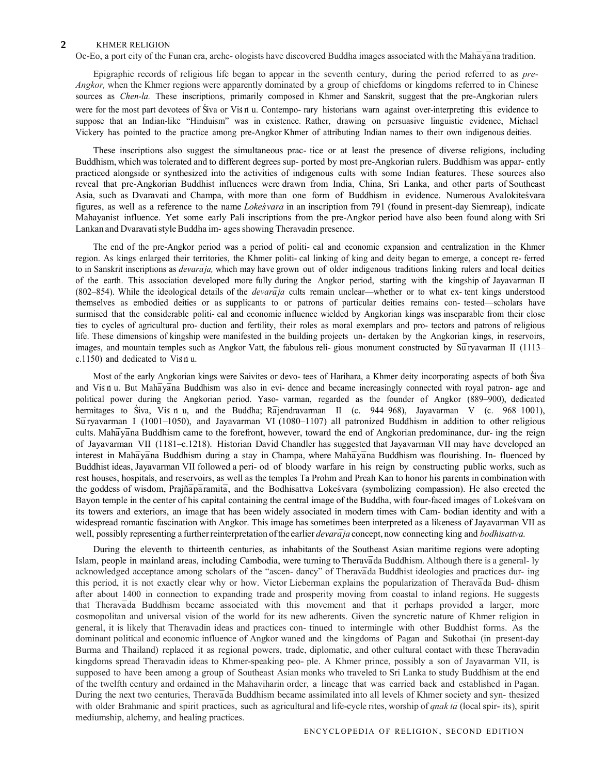## **2** KHMER RELIGION

Oc-Eo, a port city of the Funan era, arche-ologists have discovered Buddha images associated with the Mahayana tradition.

Epigraphic records of religious life began to appear in the seventh century, during the period referred to as *pre-Angkor,* when the Khmer regions were apparently dominated by a group of chiefdoms or kingdoms referred to in Chinese sources as *Chen-la.* These inscriptions, primarily composed in Khmer and Sanskrit, suggest that the pre-Angkorian rulers were for the most part devotees of Siva or Visinu. Contempo- rary historians warn against over-interpreting this evidence to suppose that an Indian-like "Hinduism" was in existence. Rather, drawing on persuasive linguistic evidence, Michael Vickery has pointed to the practice among pre-Angkor Khmer of attributing Indian names to their own indigenous deities.

These inscriptions also suggest the simultaneous prac- tice or at least the presence of diverse religions, including Buddhism, which was tolerated and to different degrees sup- ported by most pre-Angkorian rulers. Buddhism was appar- ently practiced alongside or synthesized into the activities of indigenous cults with some Indian features. These sources also reveal that pre-Angkorian Buddhist influences were drawn from India, China, Sri Lanka, and other parts of Southeast Asia, such as Dvaravati and Champa, with more than one form of Buddhism in evidence. Numerous Avalokites vara figures, as well as a reference to the name *Loke´svara* in an inscription from 791 (found in present-day Siemreap), indicate Mahayanist influence. Yet some early Pali inscriptions from the pre-Angkor period have also been found along with Sri Lankan and Dvaravati style Buddha im- ages showing Theravadin presence.

The end of the pre-Angkor period was a period of politi- cal and economic expansion and centralization in the Khmer region. As kings enlarged their territories, the Khmer politi- cal linking of king and deity began to emerge, a concept re- ferred to in Sanskrit inscriptions as *devaraja*, which may have grown out of older indigenous traditions linking rulers and local deities of the earth. This association developed more fully during the Angkor period, starting with the kingship of Jayavarman II (802–854). While the ideological details of the *devara ja* cults remain unclear—whether or to what ex- tent kings understood themselves as embodied deities or as supplicants to or patrons of particular deities remains con- tested—scholars have surmised that the considerable politi- cal and economic influence wielded by Angkorian kings was inseparable from their close ties to cycles of agricultural pro- duction and fertility, their roles as moral exemplars and pro- tectors and patrons of religious life. These dimensions of kingship were manifested in the building projects un- dertaken by the Angkorian kings, in reservoirs, images, and mountain temples such as Angkor Vatt, the fabulous reli-gious monument constructed by  $S\bar{u}$  ryavarman II (1113– c.1150) and dedicated to Vis $n u$ .

Most of the early Angkorian kings were Saivites or devo- tees of Harihara, a Khmer deity incorporating aspects of both S´iva and Vis n u. But Mahayana Buddhism was also in evi- dence and became increasingly connected with royal patron- age and political power during the Angkorian period. Yaso- varman, regarded as the founder of Angkor (889–900), dedicated hermitages to Siva, Vis $\pi$ u, and the Buddha; Ra $\pi$ jendravarman II (c. 944–968), Jayavarman V (c. 968–1001), Su ryavarman I (1001–1050), and Jayavarman VI (1080–1107) all patronized Buddhism in addition to other religious cults. Mahayana Buddhism came to the forefront, however, toward the end of Angkorian predominance, dur- ing the reign of Jayavarman VII (1181–c.1218). Historian David Chandler has suggested that Jayavarman VII may have developed an interest in Mahayana Buddhism during a stay in Champa, where Mahayana Buddhism was flourishing. In-fluenced by Buddhist ideas, Jayavarman VII followed a peri- od of bloody warfare in his reign by constructing public works, such as rest houses, hospitals, and reservoirs, as well as the temples Ta Prohm and Preah Kan to honor his parents in combination with the goddess of wisdom, Prajñaparamita, and the Bodhisattva Lokeśvara (symbolizing compassion). He also erected the Bayon temple in the center of his capital containing the central image of the Buddha, with four-faced images of Lokesvara on its towers and exteriors, an image that has been widely associated in modern times with Cam- bodian identity and with a widespread romantic fascination with Angkor. This image has sometimes been interpreted as a likeness of Jayavarman VII as well, possibly representing a further reinterpretation of the earlier *devara ja* concept, now connecting king and *bodhisattva*.

During the eleventh to thirteenth centuries, as inhabitants of the Southeast Asian maritime regions were adopting Islam, people in mainland areas, including Cambodia, were turning to Therava da Buddhism. Although there is a general- ly acknowledged acceptance among scholars of the "ascen- dancy" of Therava da Buddhist ideologies and practices dur- ing this period, it is not exactly clear why or how. Victor Lieberman explains the popularization of Theravada Bud- dhism after about 1400 in connection to expanding trade and prosperity moving from coastal to inland regions. He suggests that Therava<sub>da</sub> Buddhism became associated with this movement and that it perhaps provided a larger, more cosmopolitan and universal vision of the world for its new adherents. Given the syncretic nature of Khmer religion in general, it is likely that Theravadin ideas and practices con- tinued to intermingle with other Buddhist forms. As the dominant political and economic influence of Angkor waned and the kingdoms of Pagan and Sukothai (in present-day Burma and Thailand) replaced it as regional powers, trade, diplomatic, and other cultural contact with these Theravadin kingdoms spread Theravadin ideas to Khmer-speaking peo- ple. A Khmer prince, possibly a son of Jayavarman VII, is supposed to have been among a group of Southeast Asian monks who traveled to Sri Lanka to study Buddhism at the end of the twelfth century and ordained in the Mahaviharin order, a lineage that was carried back and established in Pagan. During the next two centuries, Therava da Buddhism became assimilated into all levels of Khmer society and syn- thesized with older Brahmanic and spirit practices, such as agricultural and life-cycle rites, worship of *qnak ta*<sup> $\overline{a}$ </sup> (local spir- its), spirit mediumship, alchemy, and healing practices.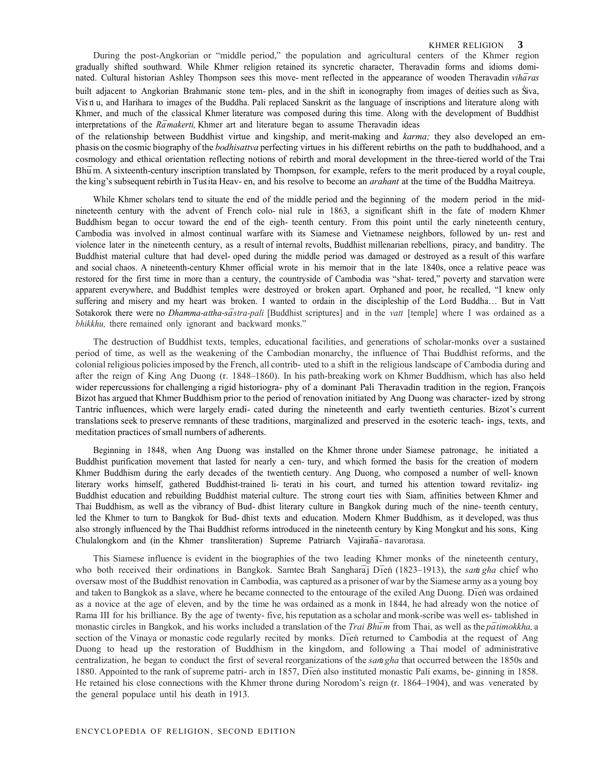## KHMER RELIGION **3**

During the post-Angkorian or "middle period," the population and agricultural centers of the Khmer region gradually shifted southward. While Khmer religion retained its syncretic character, Theravadin forms and idioms dominated. Cultural historian Ashley Thompson sees this move- ment reflected in the appearance of wooden Theravadin *viha¯ras* built adjacent to Angkorian Brahmanic stone tem- ples, and in the shift in iconography from images of deities such as Siva,

Vis n u, and Harihara to images of the Buddha. Pali replaced Sanskrit as the language of inscriptions and literature along with Khmer, and much of the classical Khmer literature was composed during this time. Along with the development of Buddhist interpretations of the *Ramakerti*, Khmer art and literature began to assume Theravadin ideas

of the relationship between Buddhist virtue and kingship, and merit-making and *karma;* they also developed an emphasis on the cosmic biography of the *bodhisattva* perfecting virtues in his different rebirths on the path to buddhahood, and a cosmology and ethical orientation reflecting notions of rebirth and moral development in the three-tiered world of the Trai  $Bh\overline{u}$ m. A sixteenth-century inscription translated by Thompson, for example, refers to the merit produced by a royal couple, the king's subsequent rebirth in Tus:ita Heav- en, and his resolve to become an *arahant* at the time of the Buddha Maitreya.

While Khmer scholars tend to situate the end of the middle period and the beginning of the modern period in the midnineteenth century with the advent of French colo- nial rule in 1863, a significant shift in the fate of modern Khmer Buddhism began to occur toward the end of the eigh- teenth century. From this point until the early nineteenth century, Cambodia was involved in almost continual warfare with its Siamese and Vietnamese neighbors, followed by un- rest and violence later in the nineteenth century, as a result of internal revolts, Buddhist millenarian rebellions, piracy, and banditry. The Buddhist material culture that had devel- oped during the middle period was damaged or destroyed as a result of this warfare and social chaos. A nineteenth-century Khmer official wrote in his memoir that in the late 1840s, once a relative peace was restored for the first time in more than a century, the countryside of Cambodia was "shat- tered," poverty and starvation were apparent everywhere, and Buddhist temples were destroyed or broken apart. Orphaned and poor, he recalled, "I knew only suffering and misery and my heart was broken. I wanted to ordain in the discipleship of the Lord Buddha… But in Vatt Sotakorok there were no *Dhamma-attha-sastra-pali* [Buddhist scriptures] and in the *vatt* [temple] where I was ordained as a *bhikkhu*, there remained only ignorant and backward monks."

The destruction of Buddhist texts, temples, educational facilities, and generations of scholar-monks over a sustained period of time, as well as the weakening of the Cambodian monarchy, the influence of Thai Buddhist reforms, and the colonial religious policiesimposed by the French, all contrib- uted to a shift in the religious landscape of Cambodia during and after the reign of King Ang Duong (r. 1848–1860). In his path-breaking work on Khmer Buddhism, which has also held wider repercussions for challenging a rigid historiogra- phy of a dominant Pali Theravadin tradition in the region, François Bizot has argued that Khmer Buddhism prior to the period of renovation initiated by Ang Duong was character- ized by strong Tantric influences, which were largely eradi- cated during the nineteenth and early twentieth centuries. Bizot's current translations seek to preserve remnants of these traditions, marginalized and preserved in the esoteric teach- ings, texts, and meditation practices of small numbers of adherents.

Beginning in 1848, when Ang Duong was installed on the Khmer throne under Siamese patronage, he initiated a Buddhist purification movement that lasted for nearly a cen- tury, and which formed the basis for the creation of modern Khmer Buddhism during the early decades of the twentieth century. Ang Duong, who composed a number of well- known literary works himself, gathered Buddhist-trained li- terati in his court, and turned his attention toward revitaliz- ing Buddhist education and rebuilding Buddhist material culture. The strong court ties with Siam, affinities between Khmer and Thai Buddhism, as well as the vibrancy of Bud- dhist literary culture in Bangkok during much of the nine- teenth century, led the Khmer to turn to Bangkok for Bud- dhist texts and education. Modern Khmer Buddhism, as it developed, was thus also strongly influenced by the Thai Buddhist reforms introduced in the nineteenth century by King Mongkut and his sons, King Chulalongkorn and (in the Khmer transliteration) Supreme Patriarch Vajiraña- navarorasa.

This Siamese influence is evident in the biographies of the two leading Khmer monks of the nineteenth century, who both received their ordinations in Bangkok. Samtec Brah: Sanghara j D<u>īen</u> (1823–1913), the *sam gha* chief who oversaw most of the Buddhist renovation in Cambodia, was captured as a prisoner of war by the Siamese army as a young boy and taken to Bangkok as a slave, where he became connected to the entourage of the exiled Ang Duong. D $\overline{1}$ en was ordained as a novice at the age of eleven, and by the time he was ordained as a monk in 1844, he had already won the notice of Rama III for his brilliance. By the age of twenty- five, his reputation as a scholar and monk-scribe was well es- tablished in monastic circles in Bangkok, and his works included a translation of the *Trai Bhum* from Thai, as well as the  $\overline{patimokkha}$ , a section of the Vinaya or monastic code regularly recited by monks. Dien returned to Cambodia at the request of Ang Duong to head up the restoration of Buddhism in the kingdom, and following a Thai model of administrative centralization, he began to conduct the first of several reorganizations of the *sam*: *gha* that occurred between the 1850s and 1880. Appointed to the rank of supreme patri- arch in 1857, Dīen also instituted monastic Pali exams, be- ginning in 1858. He retained his close connections with the Khmer throne during Norodom's reign (r. 1864–1904), and was venerated by the general populace until his death in 1913.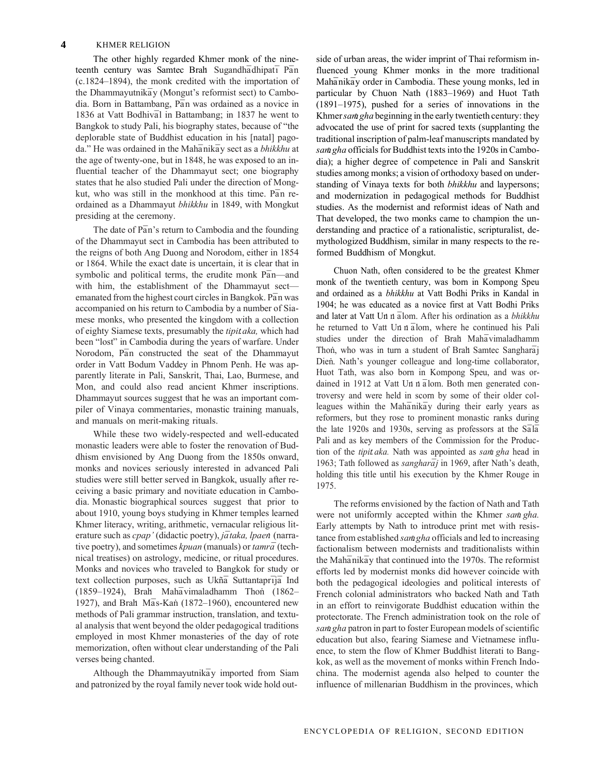## **4** KHMER RELIGION

The other highly regarded Khmer monk of the nineteenth century was Samtec Brah Sugandhadhipat $\bar{1}$  Pan (c.1824–1894), the monk credited with the importation of the Dhammayutnik $\bar{a}$ y (Mongut's reformist sect) to Cambodia. Born in Battambang, Pan was ordained as a novice in 1836 at Vatt Bodhival in Battambang; in 1837 he went to Bangkok to study Pali, his biography states, because of "the deplorable state of Buddhist education in his [natal] pagoda." He was ordained in the Mahanikay sect as a *bhikkhu* at the age of twenty-one, but in 1848, he was exposed to an influential teacher of the Dhammayut sect; one biography states that he also studied Pali under the direction of Mongkut, who was still in the monkhood at this time. Pan reordained as a Dhammayut *bhikkhu* in 1849, with Mongkut presiding at the ceremony.

The date of  $\overline{Pan}$ 's return to Cambodia and the founding of the Dhammayut sect in Cambodia has been attributed to the reigns of both Ang Duong and Norodom, either in 1854 or 1864. While the exact date is uncertain, it is clear that in symbolic and political terms, the erudite monk  $\overline{Pan}$ —and with him, the establishment of the Dhammayut sect emanated from the highest court circles in Bangkok. Pa $\overline{a}$ n was accompanied on his return to Cambodia by a number of Siamese monks, who presented the kingdom with a collection of eighty Siamese texts, presumably the *tipit*:*aka,* which had been "lost" in Cambodia during the years of warfare. Under Norodom,  $\overline{Pan}$  constructed the seat of the Dhammayut order in Vatt Bodum Vaddey in Phnom Penh. He was apparently literate in Pali, Sanskrit, Thai, Lao, Burmese, and Mon, and could also read ancient Khmer inscriptions. Dhammayut sources suggest that he was an important compiler of Vinaya commentaries, monastic training manuals, and manuals on merit-making rituals.

While these two widely-respected and well-educated monastic leaders were able to foster the renovation of Buddhism envisioned by Ang Duong from the 1850s onward, monks and novices seriously interested in advanced Pali studies were still better served in Bangkok, usually after receiving a basic primary and novitiate education in Cambodia. Monastic biographical sources suggest that prior to about 1910, young boys studying in Khmer temples learned Khmer literacy, writing, arithmetic, vernacular religious literature such as *cpap'* (didactic poetry), *ja¯taka, lpaen*: (narrative poetry), and sometimes *kpuan* (manuals) or *tamra¯* (technical treatises) on astrology, medicine, or ritual procedures. Monks and novices who traveled to Bangkok for study or text collection purposes, such as Ukña Suttantaprija Ind (1859–1924), Brah Mahavimaladhamm Thon<sup>i</sup> (1862– 1927), and Brah: Mas-Kan̆ (1872–1960), encountered new methods of Pali grammar instruction, translation, and textual analysis that went beyond the older pedagogical traditions employed in most Khmer monasteries of the day of rote memorization, often without clear understanding of the Pali verses being chanted.

Although the Dhammayutnik $\bar{a}$ <sub>y</sub> imported from Siam and patronized by the royal family never took wide hold out-

side of urban areas, the wider imprint of Thai reformism influenced young Khmer monks in the more traditional Mahanikay order in Cambodia. These young monks, led in particular by Chuon Nath (1883–1969) and Huot Tath (1891–1975), pushed for a series of innovations in the Khmer *sam* gha beginning in the early twentieth century: they advocated the use of print for sacred texts (supplanting the traditional inscription of palm-leaf manuscripts mandated by *sam gha* officials for Buddhist texts into the 1920s in Cambodia); a higher degree of competence in Pali and Sanskrit studies among monks; a vision of orthodoxy based on understanding of Vinaya texts for both *bhikkhu* and laypersons; and modernization in pedagogical methods for Buddhist studies. As the modernist and reformist ideas of Nath and That developed, the two monks came to champion the understanding and practice of a rationalistic, scripturalist, demythologized Buddhism, similar in many respects to the reformed Buddhism of Mongkut.

Chuon Nath, often considered to be the greatest Khmer monk of the twentieth century, was born in Kompong Speu and ordained as a *bhikkhu* at Vatt Bodhi Priks in Kandal in 1904; he was educated as a novice first at Vatt Bodhi Priks and later at Vatt Un n a<sup>l</sup>om. After his ordination as a *bhikkhu* he returned to Vatt Un  $n \overline{a}$ lom, where he continued his Pali studies under the direction of Brah Mahavimaladhamm Thon, who was in turn a student of Brah Samtec Sanghara $\overline{a}$ j Dien. Nath's younger colleague and long-time collaborator, Huot Tath, was also born in Kompong Speu, and was ordained in 1912 at Vatt Un  $n \overline{a}$ lom. Both men generated controversy and were held in scorn by some of their older colleagues within the Mahanikay during their early years as reformers, but they rose to prominent monastic ranks during the late 1920s and 1930s, serving as professors at the  $S\overline{a}l\overline{a}$ Pali and as key members of the Commission for the Production of the *tipit*:*aka.* Nath was appointed as *sam*: *gha* head in 1963; Tath followed as  $sanghar\overline{a}j$  in 1969, after Nath's death, holding this title until his execution by the Khmer Rouge in 1975.

The reforms envisioned by the faction of Nath and Tath were not uniformly accepted within the Khmer sam gha. Early attempts by Nath to introduce print met with resistance from established *samgha* officials and led to increasing factionalism between modernists and traditionalists within the Maha $\overline{n}$ nika $\overline{q}$ y that continued into the 1970s. The reformist efforts led by modernist monks did however coincide with both the pedagogical ideologies and political interests of French colonial administrators who backed Nath and Tath in an effort to reinvigorate Buddhist education within the protectorate. The French administration took on the role of *sam gha* patron in part to foster European models of scientific education but also, fearing Siamese and Vietnamese influence, to stem the flow of Khmer Buddhist literati to Bangkok, as well as the movement of monks within French Indochina. The modernist agenda also helped to counter the influence of millenarian Buddhism in the provinces, which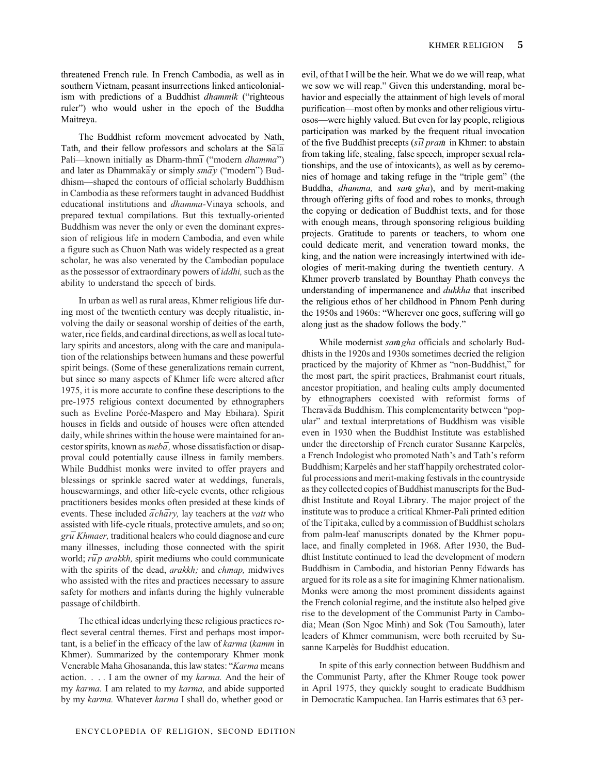threatened French rule. In French Cambodia, as well as in southern Vietnam, peasant insurrections linked anticolonialism with predictions of a Buddhist *dhammik* ("righteous ruler") who would usher in the epoch of the Buddha Maitreya.

The Buddhist reform movement advocated by Nath, Tath, and their fellow professors and scholars at the  $S\overline{a}l\overline{a}$ Pali—known initially as Dharm-thm<sub>1</sub> ("modern *dhamma*") and later as Dhammaka y or simply  $sm\bar{a}y$  ("modern") Buddhism—shaped the contours of official scholarly Buddhism in Cambodia as these reformers taught in advanced Buddhist educational institutions and *dhamma-*Vinaya schools, and prepared textual compilations. But this textually-oriented Buddhism was never the only or even the dominant expression of religious life in modern Cambodia, and even while a figure such as Chuon Nath was widely respected as a great scholar, he was also venerated by the Cambodian populace as the possessor of extraordinary powers of *iddhi*, such as the ability to understand the speech of birds.

In urban as well as rural areas, Khmer religious life during most of the twentieth century was deeply ritualistic, involving the daily or seasonal worship of deities of the earth, water, rice fields, and cardinal directions, as well as local tutelary spirits and ancestors, along with the care and manipulation of the relationships between humans and these powerful spirit beings. (Some of these generalizations remain current, but since so many aspects of Khmer life were altered after 1975, it is more accurate to confine these descriptions to the pre-1975 religious context documented by ethnographers such as Eveline Porée-Maspero and May Ebihara). Spirit houses in fields and outside of houses were often attended daily, while shrines within the house were maintained for ancestor spirits, known as  $meb\bar{a}$ , whose dissatisfaction or disapproval could potentially cause illness in family members. While Buddhist monks were invited to offer prayers and blessings or sprinkle sacred water at weddings, funerals, housewarmings, and other life-cycle events, other religious practitioners besides monks often presided at these kinds of events. These included  $\overline{a}$ *ch* $\overline{a}$ *ry*, lay teachers at the *vatt* who assisted with life-cycle rituals, protective amulets, and so on; *gru¯ Khmaer,* traditional healers who could diagnose and cure many illnesses, including those connected with the spirit world;  $r\bar{u}p$  *arakkh*, spirit mediums who could communicate with the spirits of the dead, *arakkh;* and *chmap,* midwives who assisted with the rites and practices necessary to assure safety for mothers and infants during the highly vulnerable passage of childbirth.

The ethical ideas underlying these religious practices reflect several central themes. First and perhaps most important, is a belief in the efficacy of the law of *karma* (*kamm* in Khmer). Summarized by the contemporary Khmer monk Venerable Maha Ghosananda, thislaw states: "*Karma* means action. . . . I am the owner of my *karma.* And the heir of my *karma.* I am related to my *karma,* and abide supported by my *karma.* Whatever *karma* I shall do, whether good or

evil, of that I will be the heir. What we do we will reap, what we sow we will reap." Given this understanding, moral behavior and especially the attainment of high levels of moral purification—most often by monks and other religious virtuosos—were highly valued. But even for lay people, religious participation was marked by the frequent ritual invocation of the five Buddhist precepts (*s¯ıl pram*: in Khmer: to abstain from taking life, stealing, false speech, improper sexual relationships, and the use of intoxicants), as well as by ceremonies of homage and taking refuge in the "triple gem" (the Buddha, *dhamma,* and *sam*: *gha*), and by merit-making through offering gifts of food and robes to monks, through the copying or dedication of Buddhist texts, and for those with enough means, through sponsoring religious building projects. Gratitude to parents or teachers, to whom one could dedicate merit, and veneration toward monks, the king, and the nation were increasingly intertwined with ideologies of merit-making during the twentieth century. A Khmer proverb translated by Bounthay Phath conveys the understanding of impermanence and *dukkha* that inscribed the religious ethos of her childhood in Phnom Penh during the 1950s and 1960s: "Wherever one goes, suffering will go along just as the shadow follows the body."

While modernist *sam gha* officials and scholarly Buddhists in the 1920s and 1930s sometimes decried the religion practiced by the majority of Khmer as "non-Buddhist," for the most part, the spirit practices, Brahmanist court rituals, ancestor propitiation, and healing cults amply documented by ethnographers coexisted with reformist forms of Therava da Buddhism. This complementarity between "popular" and textual interpretations of Buddhism was visible even in 1930 when the Buddhist Institute was established under the directorship of French curator Susanne Karpelès, a French Indologist who promoted Nath's and Tath's reform Buddhism; Karpelès and her staff happily orchestrated colorful processions and merit-making festivals in the countryside as they collected copies of Buddhist manuscripts for the Buddhist Institute and Royal Library. The major project of the institute was to produce a critical Khmer-Pali printed edition of the Tipit aka, culled by a commission of Buddhist scholars from palm-leaf manuscripts donated by the Khmer populace, and finally completed in 1968. After 1930, the Buddhist Institute continued to lead the development of modern Buddhism in Cambodia, and historian Penny Edwards has argued for its role as a site for imagining Khmer nationalism. Monks were among the most prominent dissidents against the French colonial regime, and the institute also helped give rise to the development of the Communist Party in Cambodia; Mean (Son Ngoc Minh) and Sok (Tou Samouth), later leaders of Khmer communism, were both recruited by Susanne Karpelès for Buddhist education.

In spite of this early connection between Buddhism and the Communist Party, after the Khmer Rouge took power in April 1975, they quickly sought to eradicate Buddhism in Democratic Kampuchea. Ian Harris estimates that 63 per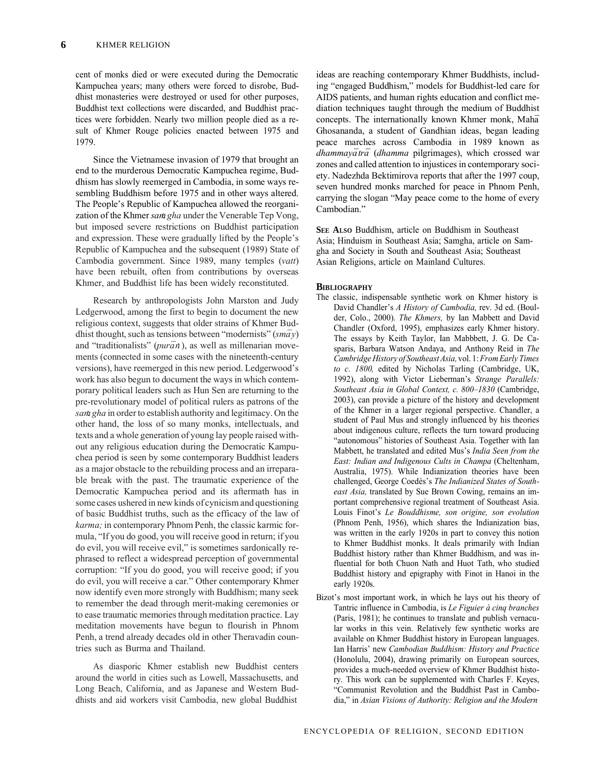cent of monks died or were executed during the Democratic Kampuchea years; many others were forced to disrobe, Buddhist monasteries were destroyed or used for other purposes, Buddhist text collections were discarded, and Buddhist practices were forbidden. Nearly two million people died as a result of Khmer Rouge policies enacted between 1975 and 1979.

Since the Vietnamese invasion of 1979 that brought an end to the murderous Democratic Kampuchea regime, Buddhism has slowly reemerged in Cambodia, in some ways resembling Buddhism before 1975 and in other ways altered. The People's Republic of Kampuchea allowed the reorganization of the Khmer *sam gha* under the Venerable Tep Vong, but imposed severe restrictions on Buddhist participation and expression. These were gradually lifted by the People's Republic of Kampuchea and the subsequent (1989) State of Cambodia government. Since 1989, many temples (*vatt*) have been rebuilt, often from contributions by overseas Khmer, and Buddhist life has been widely reconstituted.

Research by anthropologists John Marston and Judy Ledgerwood, among the first to begin to document the new religious context, suggests that older strains of Khmer Buddhist thought, such as tensions between "modernists" ( $s$ *ma* $\overline{y}$ ) and "traditionalists" ( $pur\overline{a}n$ ), as well as millenarian movements (connected in some cases with the nineteenth-century versions), have reemerged in this new period. Ledgerwood's work has also begun to document the ways in which contemporary political leaders such as Hun Sen are returning to the pre-revolutionary model of political rulers as patrons of the *sam*: *gha* in order to establish authority and legitimacy. On the other hand, the loss of so many monks, intellectuals, and texts and a whole generation of young lay people raised without any religious education during the Democratic Kampuchea period is seen by some contemporary Buddhist leaders as a major obstacle to the rebuilding process and an irreparable break with the past. The traumatic experience of the Democratic Kampuchea period and its aftermath has in some cases ushered in new kinds of cynicismand questioning of basic Buddhist truths, such as the efficacy of the law of *karma;* in contemporary Phnom Penh, the classic karmic formula, "If you do good, you will receive good in return; if you do evil, you will receive evil," is sometimes sardonically rephrased to reflect a widespread perception of governmental corruption: "If you do good, you will receive good; if you do evil, you will receive a car." Other contemporary Khmer now identify even more strongly with Buddhism; many seek to remember the dead through merit-making ceremonies or to ease traumatic memories through meditation practice. Lay meditation movements have begun to flourish in Phnom Penh, a trend already decades old in other Theravadin countries such as Burma and Thailand.

As diasporic Khmer establish new Buddhist centers around the world in cities such as Lowell, Massachusetts, and Long Beach, California, and as Japanese and Western Buddhists and aid workers visit Cambodia, new global Buddhist

ideas are reaching contemporary Khmer Buddhists, including "engaged Buddhism," models for Buddhist-led care for AIDS patients, and human rights education and conflict mediation techniques taught through the medium of Buddhist concepts. The internationally known Khmer monk, Maha $\overline{a}$ Ghosananda, a student of Gandhian ideas, began leading peace marches across Cambodia in 1989 known as  $dhammaya^T$  (*dhamma* pilgrimages), which crossed war zones and called attention to injustices in contemporary society. Nadezhda Bektimirova reports that after the 1997 coup, seven hundred monks marched for peace in Phnom Penh, carrying the slogan "May peace come to the home of every Cambodian."

**SEE ALSO** Buddhism, article on Buddhism in Southeast Asia; Hinduism in Southeast Asia; Samgha, article on Samgha and Society in South and Southeast Asia; Southeast Asian Religions, article on Mainland Cultures.

## **BIBLIOGRAPHY**

- The classic, indispensable synthetic work on Khmer history is David Chandler's *A History of Cambodia,* rev. 3d ed. (Boulder, Colo., 2000). *The Khmers,* by Ian Mabbett and David Chandler (Oxford, 1995), emphasizes early Khmer history. The essays by Keith Taylor, Ian Mabbbett, J. G. De Casparis, Barbara Watson Andaya, and Anthony Reid in *The Cambridge History of SoutheastAsia,*vol. 1:*FromEarly Times to c. 1800,* edited by Nicholas Tarling (Cambridge, UK, 1992), along with Victor Lieberman's *Strange Parallels: Southeast Asia in Global Context, c. 800–1830* (Cambridge, 2003), can provide a picture of the history and development of the Khmer in a larger regional perspective. Chandler, a student of Paul Mus and strongly influenced by his theories about indigenous culture, reflects the turn toward producing "autonomous" histories of Southeast Asia. Together with Ian Mabbett, he translated and edited Mus's *India Seen from the East: Indian and Indigenous Cults in Champa* (Cheltenham, Australia, 1975). While Indianization theories have been challenged, George Coedès's *The Indianized States of Southeast Asia,* translated by Sue Brown Cowing, remains an important comprehensive regional treatment of Southeast Asia. Louis Finot's *Le Bouddhisme, son origine, son evolution* (Phnom Penh, 1956), which shares the Indianization bias, was written in the early 1920s in part to convey this notion to Khmer Buddhist monks. It deals primarily with Indian Buddhist history rather than Khmer Buddhism, and was influential for both Chuon Nath and Huot Tath, who studied Buddhist history and epigraphy with Finot in Hanoi in the early 1920s.
- Bizot's most important work, in which he lays out his theory of Tantric influence in Cambodia, is *Le Figuier à cinq branches* (Paris, 1981); he continues to translate and publish vernacular works in this vein. Relatively few synthetic works are available on Khmer Buddhist history in European languages. Ian Harris' new *Cambodian Buddhism: History and Practice* (Honolulu, 2004), drawing primarily on European sources, provides a much-needed overview of Khmer Buddhist history. This work can be supplemented with Charles F. Keyes, "Communist Revolution and the Buddhist Past in Cambodia," in *Asian Visions of Authority: Religion and the Modern*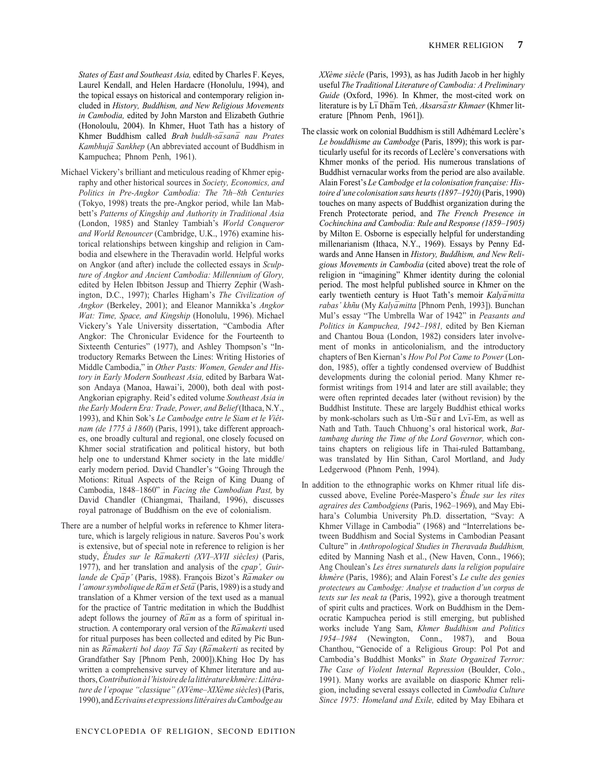*States of East and Southeast Asia,* edited by Charles F. Keyes, Laurel Kendall, and Helen Hardacre (Honolulu, 1994), and the topical essays on historical and contemporary religion included in *History, Buddhism, and New Religious Movements in Cambodia,* edited by John Marston and Elizabeth Guthrie (Honoloulu, 2004). In Khmer, Huot Tath has a history of Khmer Buddhism called *Brah*: *buddh-sa¯sana¯ nau Prates Kambhuja¯ Sankhep* (An abbreviated account of Buddhism in Kampuchea; Phnom Penh, 1961).

- Michael Vickery's brilliant and meticulous reading of Khmer epigraphy and other historical sources in *Society, Economics, and Politics in Pre-Angkor Cambodia: The 7th–8th Centuries* (Tokyo, 1998) treats the pre-Angkor period, while Ian Mabbett's *Patterns of Kingship and Authority in Traditional Asia* (London, 1985) and Stanley Tambiah's *World Conqueror and World Renouncer* (Cambridge, U.K., 1976) examine historical relationships between kingship and religion in Cambodia and elsewhere in the Theravadin world. Helpful works on Angkor (and after) include the collected essays in *Sculpture of Angkor and Ancient Cambodia: Millennium of Glory,* edited by Helen Ibbitson Jessup and Thierry Zephir (Washington, D.C., 1997); Charles Higham's *The Civilization of Angkor* (Berkeley, 2001); and Eleanor Mannikka's *Angkor Wat: Time, Space, and Kingship* (Honolulu, 1996). Michael Vickery's Yale University dissertation, "Cambodia After Angkor: The Chronicular Evidence for the Fourteenth to Sixteenth Centuries" (1977), and Ashley Thompson's "Introductory Remarks Between the Lines: Writing Histories of Middle Cambodia," in *Other Pasts: Women, Gender and History in Early Modern Southeast Asia,* edited by Barbara Watson Andaya (Manoa, Hawai'i, 2000), both deal with post-Angkorian epigraphy. Reid's edited volume *Southeast Asia in the Early Modern Era: Trade, Power, and Belief* (Ithaca, N.Y., 1993), and Khin Sok's *Le Cambodge entre le Siam et le Viêtnam (de 1775 à 1860*) (Paris, 1991), take different approaches, one broadly cultural and regional, one closely focused on Khmer social stratification and political history, but both help one to understand Khmer society in the late middle/ early modern period. David Chandler's "Going Through the Motions: Ritual Aspects of the Reign of King Duang of Cambodia, 1848–1860" in *Facing the Cambodian Past,* by David Chandler (Chiangmai, Thailand, 1996), discusses royal patronage of Buddhism on the eve of colonialism.
- There are a number of helpful works in reference to Khmer literature, which is largely religious in nature. Saveros Pou's work is extensive, but of special note in reference to religion is her study, *Études sur le Ra¯makerti (XVI–XVII siècles)* (Paris, 1977), and her translation and analysis of the *cpap', Guirlande de Cpa¯p'* (Paris, 1988). François Bizot's *Ra¯maker ou l'amour symbolique de Ramet Seta* (Paris, 1989) is a study and translation of a Khmer version of the text used as a manual for the practice of Tantric meditation in which the Buddhist adept follows the journey of  $R\overline{a}m$  as a form of spiritual instruction. A contemporary oral version of the *Ramakerti* used for ritual purposes has been collected and edited by Pic Bunnin as *Ra¯makerti bol daoy Ta¯ Say* (*Ra¯makerti* as recited by Grandfather Say [Phnom Penh, 2000]).Khing Hoc Dy has written a comprehensive survey of Khmer literature and authors,*Contribution àl'histoire de lalittératurekhmère:Littérature de l'epoque "classique" (XVème–XIXème siècles*) (Paris, 1990), and*Ecrivains et expressionslittéraires duCambodgeau*

*XXème siècle* (Paris, 1993), as has Judith Jacob in her highly useful *The Traditional Literature of Cambodia: A Preliminary Guide* (Oxford, 1996). In Khmer, the most-cited work on literature is by L<sub>1</sub> Dham Ten, *Aksarsastr Khmaer* (Khmer literature [Phnom Penh, 1961]).

- The classic work on colonial Buddhism is still Adhémard Leclère's *Le bouddhisme au Cambodge* (Paris, 1899); this work is particularly useful for its records of Leclère's conversations with Khmer monks of the period. His numerous translations of Buddhist vernacular works from the period are also available. Alain Forest's *Le Cambodge et la colonisation française: Histoire d'une colonisation sans heurts(1897–1920)*(Paris, 1990) touches on many aspects of Buddhist organization during the French Protectorate period, and *The French Presence in Cochinchina and Cambodia: Rule and Response (1859–1905)* by Milton E. Osborne is especially helpful for understanding millenarianism (Ithaca, N.Y., 1969). Essays by Penny Edwards and Anne Hansen in *History, Buddhism, and New Religious Movements in Cambodia* (cited above) treat the role of religion in "imagining" Khmer identity during the colonial period. The most helpful published source in Khmer on the early twentieth century is Huot Tath's memoir *Kalyamitta rabas' khñu* (My *Kalya¯mitta* [Phnom Penh, 1993]). Bunchan Mul's essay "The Umbrella War of 1942" in *Peasants and Politics in Kampuchea, 1942–1981,* edited by Ben Kiernan and Chantou Boua (London, 1982) considers later involvement of monks in anticolonialism, and the introductory chapters of Ben Kiernan's *How Pol Pot Came to Power* (London, 1985), offer a tightly condensed overview of Buddhist developments during the colonial period. Many Khmer reformist writings from 1914 and later are still available; they were often reprinted decades later (without revision) by the Buddhist Institute. These are largely Buddhist ethical works by monk-scholars such as Um-S $\bar{u}$ r and Lv $\bar{i}$ -Em, as well as Nath and Tath. Tauch Chhuong's oral historical work, *Battambang during the Time of the Lord Governor,* which contains chapters on religious life in Thai-ruled Battambang, was translated by Hin Sithan, Carol Mortland, and Judy Ledgerwood (Phnom Penh, 1994).
- In addition to the ethnographic works on Khmer ritual life discussed above, Eveline Porée-Maspero's *Étude sur les rites agraires des Cambodgiens* (Paris, 1962–1969), and May Ebihara's Columbia University Ph.D. dissertation, "Svay: A Khmer Village in Cambodia" (1968) and "Interrelations between Buddhism and Social Systems in Cambodian Peasant Culture" in *Anthropological Studies in Theravada Buddhism,* edited by Manning Nash et al., (New Haven, Conn., 1966); Ang Choulean's *Les êtres surnaturels dans la religion populaire khmère* (Paris, 1986); and Alain Forest's *Le culte des genies protecteurs au Cambodge: Analyse et traduction d'un corpus de texts sur les neak ta* (Paris, 1992), give a thorough treatment of spirit cults and practices. Work on Buddhism in the Democratic Kampuchea period is still emerging, but published works include Yang Sam, *Khmer Buddhism and Politics 1954–1984* (Newington, Conn., 1987), and Boua Chanthou, "Genocide of a Religious Group: Pol Pot and Cambodia's Buddhist Monks" in *State Organized Terror: The Case of Violent Internal Repression* (Boulder, Colo., 1991). Many works are available on diasporic Khmer religion, including several essays collected in *Cambodia Culture Since 1975: Homeland and Exile,* edited by May Ebihara et